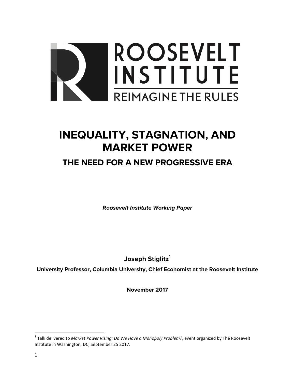

# **INEQUALITY, STAGNATION, AND MARKET POWER**

# **THE NEED FOR A NEW PROGRESSIVE ERA**

*Roosevelt Institute Working Paper*

Joseph Stiglitz<sup>1</sup>

**University Professor, Columbia University, Chief Economist at the Roosevelt Institute**

**November 2017**

<sup>&</sup>lt;sup>1</sup> Talk delivered to *Market Power Rising: Do We Have a Monopoly Problem?*, event organized by The Roosevelt Institute in Washington, DC, September 25 2017.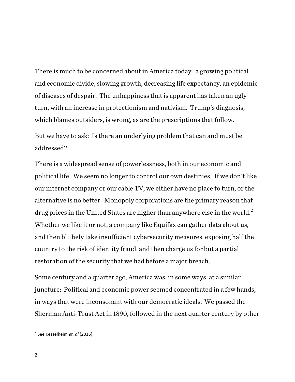There is much to be concerned about in America today: a growing political and economic divide, slowing growth, decreasing life expectancy, an epidemic of diseases of despair. The unhappiness that is apparent has taken an ugly turn, with an increase in protectionism and nativism. Trump's diagnosis, which blames outsiders, is wrong, as are the prescriptions that follow. But we have to ask: Is there an underlying problem that can and must be addressed?

There is a widespread sense of powerlessness, both in our economic and political life. We seem no longer to control our own destinies. If we don't like our internet company or our cable TV, we either have no place to turn, or the alternative is no better. Monopoly corporations are the primary reason that drug prices in the United States are higher than anywhere else in the world.<sup>2</sup> Whether we like it or not, a company like Equifax can gather data about us, and then blithely take insufficient cybersecurity measures, exposing half the country to the risk of identity fraud, and then charge us for but a partial restoration of the security that we had before a major breach.

Some century and a quarter ago, America was, in some ways, at a similar juncture: Political and economic power seemed concentrated in a few hands, in ways that were inconsonant with our democratic ideals. We passed the Sherman Anti-Trust Act in 1890, followed in the next quarter century by other

<sup>&</sup>lt;sup>2</sup> See Kesselheim *et. al* (2016).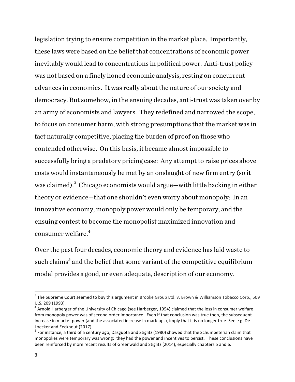legislation trying to ensure competition in the market place. Importantly, these laws were based on the belief that concentrations of economic power inevitably would lead to concentrations in political power. Anti-trust policy was not based on a finely honed economic analysis, resting on concurrent advances in economics. It was really about the nature of our society and democracy. But somehow, in the ensuing decades, anti-trust was taken over by an army of economists and lawyers. They redefined and narrowed the scope, to focus on consumer harm, with strong presumptions that the market was in fact naturally competitive, placing the burden of proof on those who contended otherwise. On this basis, it became almost impossible to successfully bring a predatory pricing case: Any attempt to raise prices above costs would instantaneously be met by an onslaught of new firm entry (so it was claimed). $^3$  Chicago economists would argue—with little backing in either theory or evidence—that one shouldn't even worry about monopoly: In an innovative economy, monopoly power would only be temporary, and the ensuing contest to become the monopolist maximized innovation and consumer welfare. $4$ 

Over the past four decades, economic theory and evidence has laid waste to such claims<sup>5</sup> and the belief that some variant of the competitive equilibrium model provides a good, or even adequate, description of our economy.

 $3$  The Supreme Court seemed to buy this argument in Brooke Group Ltd. v. Brown & Williamson Tobacco Corp., 509 U.S. 209 (1993).

 $4$  Arnold Harberger of the University of Chicago (see Harberger, 1954) claimed that the loss in consumer welfare from monopoly power was of second order importance. Even if that conclusion was true then, the subsequent increase in market power (and the associated increase in mark-ups), imply that it is no longer true. See e.g. De Loecker and Eeckhout (2017).

 $<sup>5</sup>$  For instance, a third of a century ago, Dasgupta and Stiglitz (1980) showed that the Schumpeterian claim that</sup> monopolies were temporary was wrong: they had the power and incentives to persist. These conclusions have been reinforced by more recent results of Greenwald and Stiglitz (2014), especially chapters 5 and 6.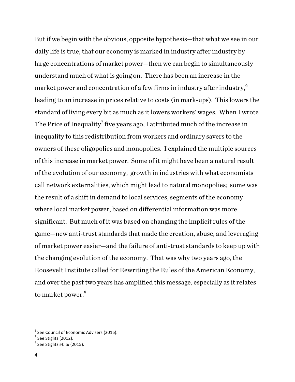But if we begin with the obvious, opposite hypothesis—that what we see in our daily life is true, that our economy is marked in industry after industry by large concentrations of market power—then we can begin to simultaneously understand much of what is going on. There has been an increase in the market power and concentration of a few firms in industry after industry, $\rm ^6$ leading to an increase in prices relative to costs (in mark-ups). This lowers the standard of living every bit as much as it lowers workers' wages. When I wrote The Price of Inequality<sup>7</sup> five years ago, I attributed much of the increase in inequality to this redistribution from workers and ordinary savers to the owners of these oligopolies and monopolies. I explained the multiple sources of this increase in market power. Some of it might have been a natural result of the evolution of our economy, growth in industries with what economists call network externalities, which might lead to natural monopolies; some was the result of a shift in demand to local services, segments of the economy where local market power, based on differential information was more significant. But much of it was based on changing the implicit rules of the game—new anti-trust standards that made the creation, abuse, and leveraging of market power easier—and the failure of anti-trust standards to keep up with the changing evolution of the economy. That was why two years ago, the Roosevelt Institute called for Rewriting the Rules of the American Economy, and over the past two years has amplified this message, especially as it relates to market power.<sup>8</sup>

 $6$  See Council of Economic Advisers (2016).

 $<sup>7</sup>$  See Stiglitz (2012).</sup>

<sup>8</sup> See Stiglitz *et. al* (2015).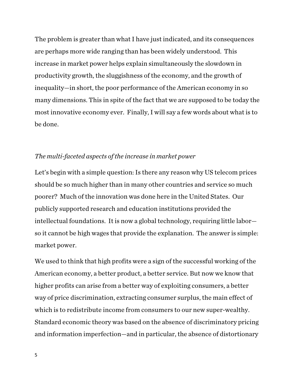The problem is greater than what I have just indicated, and its consequences are perhaps more wide ranging than has been widely understood. This increase in market power helps explain simultaneously the slowdown in productivity growth, the sluggishness of the economy, and the growth of inequality—in short, the poor performance of the American economy in so many dimensions. This in spite of the fact that we are supposed to be today the most innovative economy ever. Finally, I will say a few words about what is to be done.

#### *The multi-faceted aspects of the increase in market power*

Let's begin with a simple question: Is there any reason why US telecom prices should be so much higher than in many other countries and service so much poorer? Much of the innovation was done here in the United States. Our publicly supported research and education institutions provided the intellectual foundations. It is now a global technology, requiring little labor so it cannot be high wages that provide the explanation. The answer is simple: market power.

We used to think that high profits were a sign of the successful working of the American economy, a better product, a better service. But now we know that higher profits can arise from a better way of exploiting consumers, a better way of price discrimination, extracting consumer surplus, the main effect of which is to redistribute income from consumers to our new super-wealthy. Standard economic theory was based on the absence of discriminatory pricing and information imperfection—and in particular, the absence of distortionary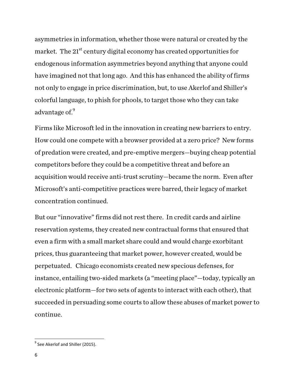asymmetries in information, whether those were natural or created by the market. The  $21<sup>st</sup>$  century digital economy has created opportunities for endogenous information asymmetries beyond anything that anyone could have imagined not that long ago. And this has enhanced the ability of firms not only to engage in price discrimination, but, to use Akerlof and Shiller's colorful language, to phish for phools, to target those who they can take advantage of. $^9$ 

Firms like Microsoft led in the innovation in creating new barriers to entry. How could one compete with a browser provided at a zero price? New forms of predation were created, and pre-emptive mergers—buying cheap potential competitors before they could be a competitive threat and before an acquisition would receive anti-trust scrutiny—became the norm. Even after Microsoft's anti-competitive practices were barred, their legacy of market concentration continued.

But our "innovative" firms did not rest there. In credit cards and airline reservation systems, they created new contractual forms that ensured that even a firm with a small market share could and would charge exorbitant prices, thus guaranteeing that market power, however created, would be perpetuated. Chicago economists created new specious defenses, for instance, entailing two-sided markets (a "meeting place"—today, typically an electronic platform—for two sets of agents to interact with each other), that succeeded in persuading some courts to allow these abuses of market power to continue.

 $9$  See Akerlof and Shiller (2015).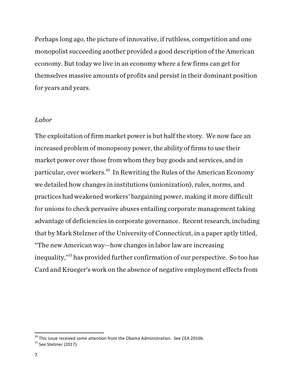Perhaps long ago, the picture of innovative, if ruthless, competition and one monopolist succeeding another provided a good description of the American economy. But today we live in an economy where a few firms can get for themselves massive amounts of profits and persist in their dominant position for years and years.

#### *Labor*

The exploitation of firm market power is but half the story. We now face an increased problem of monopsony power, the ability of firms to use their market power over those from whom they buy goods and services, and in particular, over workers.10 In Rewriting the Rules of the American Economy we detailed how changes in institutions (unionization), rules, norms, and practices had weakened workers' bargaining power, making it more difficult for unions to check pervasive abuses entailing corporate management taking advantage of deficiencies in corporate governance. Recent research, including that by Mark Stelzner of the University of Connecticut, in a paper aptly titled, "The new American way—how changes in labor law are increasing inequality,"<sup>11</sup> has provided further confirmation of our perspective. So too has Card and Krueger's work on the absence of negative employment effects from

<sup>&</sup>lt;sup>10</sup> This issue received some attention from the Obama Administration. See CEA 2016b.<br><sup>11</sup> See Stelzner (2017).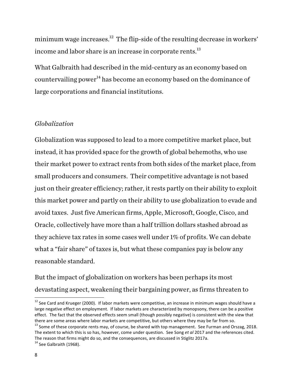minimum wage increases. $^{\rm 12}$  The flip-side of the resulting decrease in workers' income and labor share is an increase in corporate rents.<sup>13</sup>

What Galbraith had described in the mid-century as an economy based on countervailing power<sup>14</sup> has become an economy based on the dominance of large corporations and financial institutions.

# *Globalization*

Globalization was supposed to lead to a more competitive market place, but instead, it has provided space for the growth of global behemoths, who use their market power to extract rents from both sides of the market place, from small producers and consumers. Their competitive advantage is not based just on their greater efficiency; rather, it rests partly on their ability to exploit this market power and partly on their ability to use globalization to evade and avoid taxes. Just five American firms, Apple, Microsoft, Google, Cisco, and Oracle, collectively have more than a half trillion dollars stashed abroad as they achieve tax rates in some cases well under 1% of profits. We can debate what a "fair share" of taxes is, but what these companies pay is below any reasonable standard.

But the impact of globalization on workers has been perhaps its most devastating aspect, weakening their bargaining power, as firms threaten to

 $^{12}$  See Card and Krueger (2000). If labor markets were competitive, an increase in minimum wages should have a large negative effect on employment. If labor markets are characterized by monopsony, there can be a positive effect. The fact that the observed effects seem small (though possibly negative) is consistent with the view that there are some areas where labor markets are competitive, but others where they may be far from so.

 $13$  Some of these corporate rents may, of course, be shared with top management. See Furman and Orszag, 2018. The extent to which this is so has, however, come under question. See Song et al 2017 and the references cited. The reason that firms might do so, and the consequences, are discussed in Stiglitz 2017a.

 $14$  See Galbraith (1968).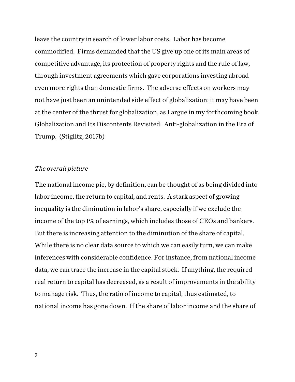leave the country in search of lower labor costs. Labor has become commodified. Firms demanded that the US give up one of its main areas of competitive advantage, its protection of property rights and the rule of law, through investment agreements which gave corporations investing abroad even more rights than domestic firms. The adverse effects on workers may not have just been an unintended side effect of globalization; it may have been at the center of the thrust for globalization, as I argue in my forthcoming book, Globalization and Its Discontents Revisited: Anti-globalization in the Era of Trump. (Stiglitz, 2017b)

### *The overall picture*

The national income pie, by definition, can be thought of as being divided into labor income, the return to capital, and rents. A stark aspect of growing inequality is the diminution in labor's share, especially if we exclude the income of the top 1% of earnings, which includes those of CEOs and bankers. But there is increasing attention to the diminution of the share of capital. While there is no clear data source to which we can easily turn, we can make inferences with considerable confidence. For instance, from national income data, we can trace the increase in the capital stock. If anything, the required real return to capital has decreased, as a result of improvements in the ability to manage risk. Thus, the ratio of income to capital, thus estimated, to national income has gone down. If the share of labor income and the share of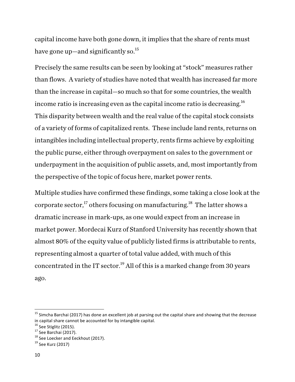capital income have both gone down, it implies that the share of rents must have gone up—and significantly so.<sup>15</sup>

Precisely the same results can be seen by looking at "stock" measures rather than flows. A variety of studies have noted that wealth has increased far more than the increase in capital—so much so that for some countries, the wealth income ratio is increasing even as the capital income ratio is decreasing.<sup>16</sup> This disparity between wealth and the real value of the capital stock consists of a variety of forms of capitalized rents. These include land rents, returns on intangibles including intellectual property, rents firms achieve by exploiting the public purse, either through overpayment on sales to the government or underpayment in the acquisition of public assets, and, most importantly from the perspective of the topic of focus here, market power rents.

Multiple studies have confirmed these findings, some taking a close look at the corporate sector, $^{17}$  others focusing on manufacturing. $^{18}\,$  The latter shows a dramatic increase in mark-ups, as one would expect from an increase in market power. Mordecai Kurz of Stanford University has recently shown that almost 80% of the equity value of publicly listed firms is attributable to rents, representing almost a quarter of total value added, with much of this concentrated in the IT sector. $^{19}$  All of this is a marked change from 30 years ago.

 $15$  Simcha Barchai (2017) has done an excellent job at parsing out the capital share and showing that the decrease in capital share cannot be accounted for by intangible capital.<br> $16$  See Stiglitz (2015).

<sup>&</sup>lt;sup>17</sup> See Barchai (2017).<br><sup>18</sup> See Loecker and Eeckhout (2017).<br><sup>19</sup> See Kurz (2017)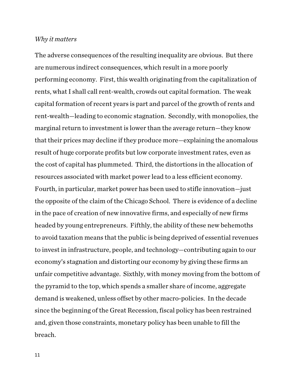#### *Why it matters*

The adverse consequences of the resulting inequality are obvious. But there are numerous indirect consequences, which result in a more poorly performing economy. First, this wealth originating from the capitalization of rents, what I shall call rent-wealth, crowds out capital formation. The weak capital formation of recent years is part and parcel of the growth of rents and rent-wealth—leading to economic stagnation. Secondly, with monopolies, the marginal return to investment is lower than the average return—they know that their prices may decline if they produce more—explaining the anomalous result of huge corporate profits but low corporate investment rates, even as the cost of capital has plummeted. Third, the distortions in the allocation of resources associated with market power lead to a less efficient economy. Fourth, in particular, market power has been used to stifle innovation—just the opposite of the claim of the Chicago School. There is evidence of a decline in the pace of creation of new innovative firms, and especially of new firms headed by young entrepreneurs. Fifthly, the ability of these new behemoths to avoid taxation means that the public is being deprived of essential revenues to invest in infrastructure, people, and technology—contributing again to our economy's stagnation and distorting our economy by giving these firms an unfair competitive advantage. Sixthly, with money moving from the bottom of the pyramid to the top, which spends a smaller share of income, aggregate demand is weakened, unless offset by other macro-policies. In the decade since the beginning of the Great Recession, fiscal policy has been restrained and, given those constraints, monetary policy has been unable to fill the breach.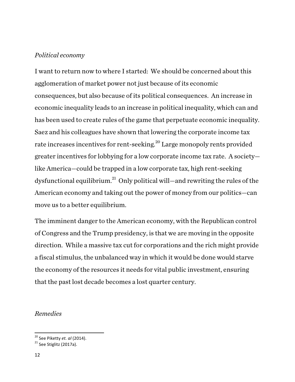# *Political economy*

I want to return now to where I started: We should be concerned about this agglomeration of market power not just because of its economic consequences, but also because of its political consequences. An increase in economic inequality leads to an increase in political inequality, which can and has been used to create rules of the game that perpetuate economic inequality. Saez and his colleagues have shown that lowering the corporate income tax rate increases incentives for rent-seeking.<sup>20</sup> Large monopoly rents provided greater incentives for lobbying for a low corporate income tax rate. A society like America—could be trapped in a low corporate tax, high rent-seeking dysfunctional equilibrium.<sup>21</sup> Only political will—and rewriting the rules of the American economy and taking out the power of money from our politics—can move us to a better equilibrium.

The imminent danger to the American economy, with the Republican control of Congress and the Trump presidency, is that we are moving in the opposite direction. While a massive tax cut for corporations and the rich might provide a fiscal stimulus, the unbalanced way in which it would be done would starve the economy of the resources it needs for vital public investment, ensuring that the past lost decade becomes a lost quarter century.

# *Remedies*

<sup>&</sup>lt;sup>20</sup> See Piketty *et. al* (2014).<br><sup>21</sup> See Stiglitz (2017a).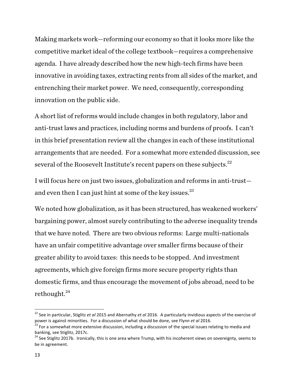Making markets work—reforming our economy so that it looks more like the competitive market ideal of the college textbook—requires a comprehensive agenda. I have already described how the new high-tech firms have been innovative in avoiding taxes, extracting rents from all sides of the market, and entrenching their market power. We need, consequently, corresponding innovation on the public side.

A short list of reforms would include changes in both regulatory, labor and anti-trust laws and practices, including norms and burdens of proofs. I can't in this brief presentation review all the changes in each of these institutional arrangements that are needed. For a somewhat more extended discussion, see several of the Roosevelt Institute's recent papers on these subjects.<sup>22</sup>

I will focus here on just two issues, globalization and reforms in anti-trust and even then I can just hint at some of the key issues.<sup>23</sup>

We noted how globalization, as it has been structured, has weakened workers' bargaining power, almost surely contributing to the adverse inequality trends that we have noted. There are two obvious reforms: Large multi-nationals have an unfair competitive advantage over smaller firms because of their greater ability to avoid taxes: this needs to be stopped. And investment agreements, which give foreign firms more secure property rights than domestic firms, and thus encourage the movement of jobs abroad, need to be rethought.<sup>24</sup>

<sup>&</sup>lt;sup>22</sup> See in particular, Stiglitz *et al* 2015 and Abernathy *et al* 2016. A particularly invidious aspects of the exercise of power is against minorities. For a discussion of what should be done, see Flynn *et al* 2016.

<sup>&</sup>lt;sup>23</sup> For a somewhat more extensive discussion, including a discussion of the special issues relating to media and banking, see Stiglitz, 2017c.

<sup>&</sup>lt;sup>24</sup> See Stiglitz 2017b. Ironically, this is one area where Trump, with his incoherent views on sovereignty, seems to be in agreement.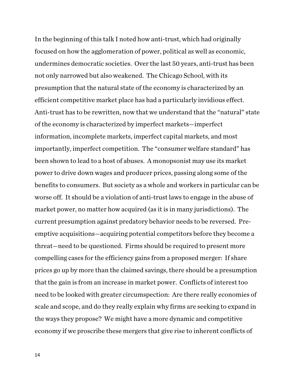In the beginning of this talk I noted how anti-trust, which had originally focused on how the agglomeration of power, political as well as economic, undermines democratic societies. Over the last 50 years, anti-trust has been not only narrowed but also weakened. The Chicago School, with its presumption that the natural state of the economy is characterized by an efficient competitive market place has had a particularly invidious effect. Anti-trust has to be rewritten, now that we understand that the "natural" state of the economy is characterized by imperfect markets—imperfect information, incomplete markets, imperfect capital markets, and most importantly, imperfect competition. The "consumer welfare standard" has been shown to lead to a host of abuses. A monopsonist may use its market power to drive down wages and producer prices, passing along some of the benefits to consumers. But society as a whole and workers in particular can be worse off. It should be a violation of anti-trust laws to engage in the abuse of market power, no matter how acquired (as it is in many jurisdictions). The current presumption against predatory behavior needs to be reversed. Preemptive acquisitions—acquiring potential competitors before they become a threat—need to be questioned. Firms should be required to present more compelling cases for the efficiency gains from a proposed merger: If share prices go up by more than the claimed savings, there should be a presumption that the gain is from an increase in market power. Conflicts of interest too need to be looked with greater circumspection: Are there really economies of scale and scope, and do they really explain why firms are seeking to expand in the ways they propose? We might have a more dynamic and competitive economy if we proscribe these mergers that give rise to inherent conflicts of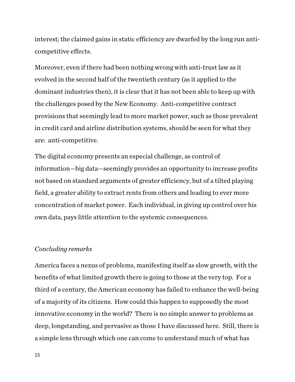interest; the claimed gains in static efficiency are dwarfed by the long run anticompetitive effects.

Moreover, even if there had been nothing wrong with anti-trust law as it evolved in the second half of the twentieth century (as it applied to the dominant industries then), it is clear that it has not been able to keep up with the challenges posed by the New Economy. Anti-competitive contract provisions that seemingly lead to more market power, such as those prevalent in credit card and airline distribution systems, should be seen for what they are: anti-competitive.

The digital economy presents an especial challenge, as control of information—big data—seemingly provides an opportunity to increase profits not based on standard arguments of greater efficiency, but of a tilted playing field, a greater ability to extract rents from others and leading to ever more concentration of market power. Each individual, in giving up control over his own data, pays little attention to the systemic consequences.

#### *Concluding remarks*

America faces a nexus of problems, manifesting itself as slow growth, with the benefits of what limited growth there is going to those at the very top. For a third of a century, the American economy has failed to enhance the well-being of a majority of its citizens. How could this happen to supposedly the most innovative economy in the world? There is no simple answer to problems as deep, longstanding, and pervasive as those I have discussed here. Still, there is a simple lens through which one can come to understand much of what has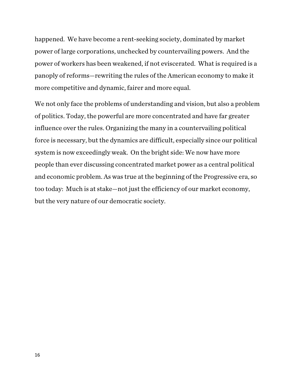happened. We have become a rent-seeking society, dominated by market power of large corporations, unchecked by countervailing powers. And the power of workers has been weakened, if not eviscerated. What is required is a panoply of reforms—rewriting the rules of the American economy to make it more competitive and dynamic, fairer and more equal.

We not only face the problems of understanding and vision, but also a problem of politics. Today, the powerful are more concentrated and have far greater influence over the rules. Organizing the many in a countervailing political force is necessary, but the dynamics are difficult, especially since our political system is now exceedingly weak. On the bright side: We now have more people than ever discussing concentrated market power as a central political and economic problem. As was true at the beginning of the Progressive era, so too today: Much is at stake—not just the efficiency of our market economy, but the very nature of our democratic society.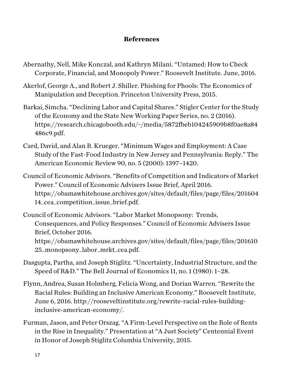# **References**

- Abernathy, Nell, Mike Konczal, and Kathryn Milani. "Untamed: How to Check Corporate, Financial, and Monopoly Power." Roosevelt Institute. June, 2016.
- Akerlof, George A., and Robert J. Shiller. Phishing for Phools: The Economics of Manipulation and Deception. Princeton University Press, 2015.
- Barkai, Simcha. "Declining Labor and Capital Shares." Stigler Center for the Study of the Economy and the State New Working Paper Series, no. 2 (2016). https://research.chicagobooth.edu/~/media/5872fbeb104245909b8f0ae8a84 486c9.pdf.
- Card, David, and Alan B. Krueger. "Minimum Wages and Employment: A Case Study of the Fast-Food Industry in New Jersey and Pennsylvania: Reply." The American Economic Review 90, no. 5 (2000): 1397–1420.
- Council of Economic Advisors. "Benefits of Competition and Indicators of Market Power." Council of Economic Advisers Issue Brief, April 2016. https://obamawhitehouse.archives.gov/sites/default/files/page/files/201604 14\_cea\_competition\_issue\_brief.pdf.
- Council of Economic Advisors. "Labor Market Monopsony: Trends, Consequences, and Policy Responses." Council of Economic Advisers Issue Brief, October 2016. https://obamawhitehouse.archives.gov/sites/default/files/page/files/201610 25\_monopsony\_labor\_mrkt\_cea.pdf.
- Dasgupta, Partha, and Joseph Stiglitz. "Uncertainty, Industrial Structure, and the Speed of R&D." The Bell Journal of Economics 11, no. 1 (1980): 1–28.
- Flynn, Andrea, Susan Holmberg, Felicia Wong, and Dorian Warren. "Rewrite the Racial Rules: Building an Inclusive American Economy." Roosevelt Institute, June 6, 2016. http://rooseveltinstitute.org/rewrite-racial-rules-buildinginclusive-american-economy/.
- Furman, Jason, and Peter Orszag. "A Firm-Level Perspective on the Role of Rents in the Rise in Inequality." Presentation at "A Just Society" Centennial Event in Honor of Joseph Stiglitz Columbia University, 2015.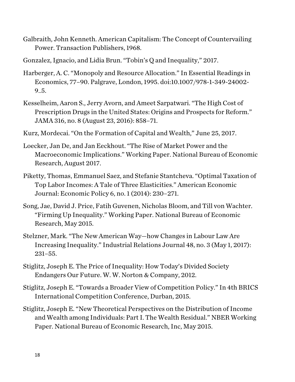- Galbraith, John Kenneth. American Capitalism: The Concept of Countervailing Power. Transaction Publishers, 1968.
- Gonzalez, Ignacio, and Lidia Brun. "Tobin's Q and Inequality," 2017.
- Harberger, A. C. "Monopoly and Resource Allocation." In Essential Readings in Economics, 77–90. Palgrave, London, 1995. doi:10.1007/978-1-349-24002-  $9 - 5.$
- Kesselheim, Aaron S., Jerry Avorn, and Ameet Sarpatwari. "The High Cost of Prescription Drugs in the United States: Origins and Prospects for Reform." JAMA 316, no. 8 (August 23, 2016): 858–71.
- Kurz, Mordecai. "On the Formation of Capital and Wealth," June 25, 2017.
- Loecker, Jan De, and Jan Eeckhout. "The Rise of Market Power and the Macroeconomic Implications." Working Paper. National Bureau of Economic Research, August 2017.
- Piketty, Thomas, Emmanuel Saez, and Stefanie Stantcheva. "Optimal Taxation of Top Labor Incomes: A Tale of Three Elasticities." American Economic Journal: Economic Policy 6, no. 1 (2014): 230–271.
- Song, Jae, David J. Price, Fatih Guvenen, Nicholas Bloom, and Till von Wachter. "Firming Up Inequality." Working Paper. National Bureau of Economic Research, May 2015.
- Stelzner, Mark. "The New American Way—how Changes in Labour Law Are Increasing Inequality." Industrial Relations Journal 48, no. 3 (May 1, 2017): 231–55.
- Stiglitz, Joseph E. The Price of Inequality: How Today's Divided Society Endangers Our Future. W. W. Norton & Company, 2012.
- Stiglitz, Joseph E. "Towards a Broader View of Competition Policy." In 4th BRICS International Competition Conference, Durban, 2015.
- Stiglitz, Joseph E. "New Theoretical Perspectives on the Distribution of Income and Wealth among Individuals: Part I. The Wealth Residual." NBER Working Paper. National Bureau of Economic Research, Inc, May 2015.